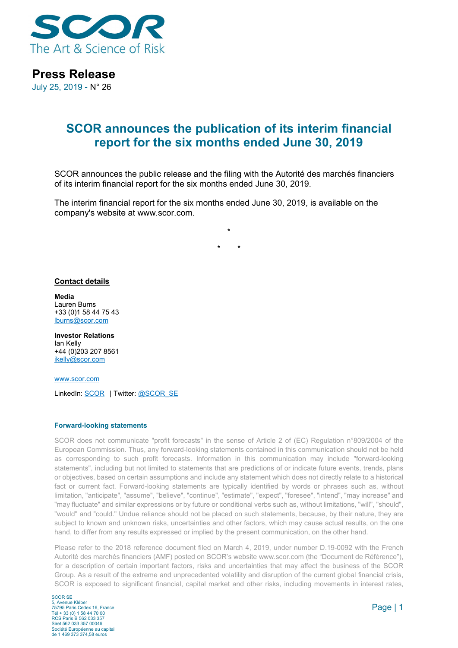

**Press Release**

July 25, 2019 - N° 26

## **SCOR announces the publication of its interim financial report for the six months ended June 30, 2019**

SCOR announces the public release and the filing with the Autorité des marchés financiers of its interim financial report for the six months ended June 30, 2019.

**\***

**\* \***

The interim financial report for the six months ended June 30, 2019, is available on the company's website at www.scor.com.

**Contact details**

**Media** Lauren Burns +33 (0)1 58 44 75 43 lburns@scor.com

**Investor Relations** Ian Kelly +44 (0)203 207 8561 [ikelly@scor.com](mailto:ikelly@scor.com)

[www.scor.com](http://www.scor.com/en/)

LinkedIn: [SCOR](https://www.linkedin.com/company/11543) | Twitter[: @SCOR\\_SE](https://twitter.com/SCOR_SE)

## **Forward-looking statements**

SCOR does not communicate "profit forecasts" in the sense of Article 2 of (EC) Regulation n°809/2004 of the European Commission. Thus, any forward-looking statements contained in this communication should not be held as corresponding to such profit forecasts. Information in this communication may include "forward-looking statements", including but not limited to statements that are predictions of or indicate future events, trends, plans or objectives, based on certain assumptions and include any statement which does not directly relate to a historical fact or current fact. Forward-looking statements are typically identified by words or phrases such as, without limitation, "anticipate", "assume", "believe", "continue", "estimate", "expect", "foresee", "intend", "may increase" and "may fluctuate" and similar expressions or by future or conditional verbs such as, without limitations, "will", "should", "would" and "could." Undue reliance should not be placed on such statements, because, by their nature, they are subject to known and unknown risks, uncertainties and other factors, which may cause actual results, on the one hand, to differ from any results expressed or implied by the present communication, on the other hand.

Please refer to the 2018 reference document filed on March 4, 2019, under number D.19-0092 with the French Autorité des marchés financiers (AMF) posted on SCOR's website www.scor.com (the "Document de Référence"), for a description of certain important factors, risks and uncertainties that may affect the business of the SCOR Group. As a result of the extreme and unprecedented volatility and disruption of the current global financial crisis, SCOR is exposed to significant financial, capital market and other risks, including movements in interest rates,

SCOR SE 5, Avenue Kléber 75795 Paris Cedex 16, France Tél + 33 (0) 1 58 44 70 00 RCS Paris B 562 033 357 Siret 562 033 357 00046 Société Européenne au capital de 1 469 373 374,58 euros